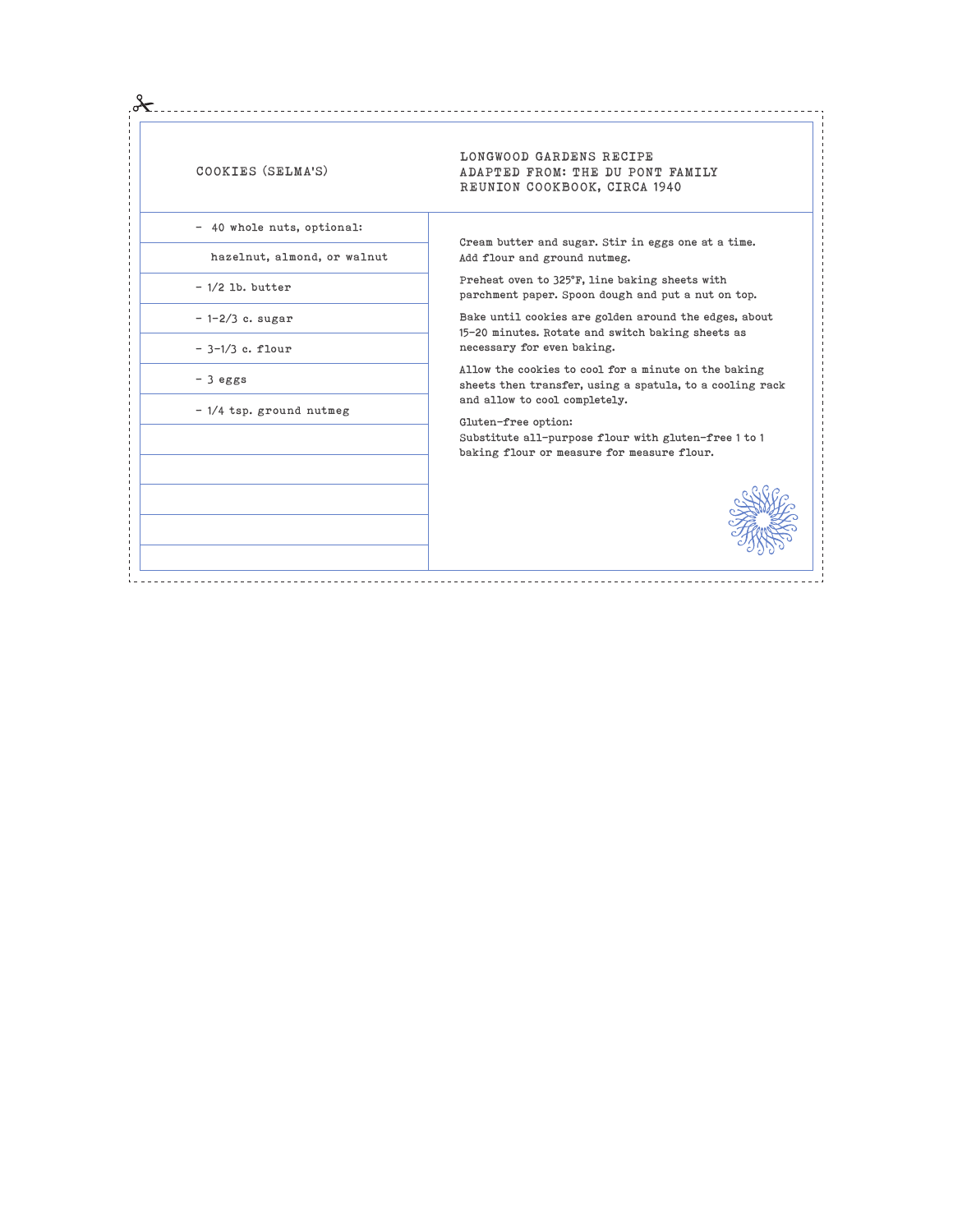| COOKIES (SELMA'S)           | LONGWOOD GARDENS RECIPE<br>ADAPTED FROM: THE DU PONT FAMILY<br>REUNION COOKBOOK, CIRCA 1940                      |
|-----------------------------|------------------------------------------------------------------------------------------------------------------|
| - 40 whole nuts, optional:  |                                                                                                                  |
| hazelnut, almond, or walnut | Cream butter and sugar. Stir in eggs one at a time.<br>Add flour and ground nutmeg.                              |
| $-1/2$ lb. butter           | Preheat oven to 325°F, line baking sheets with<br>parchment paper. Spoon dough and put a nut on top.             |
| $-1-2/3$ c. sugar           | Bake until cookies are golden around the edges, about<br>15-20 minutes. Rotate and switch baking sheets as       |
| $-3-1/3$ c. flour           | necessary for even baking.                                                                                       |
| $-3$ eggs                   | Allow the cookies to cool for a minute on the baking<br>sheets then transfer, using a spatula, to a cooling rack |
| $-1/4$ tsp. ground nutmeg   | and allow to cool completely.<br>Gluten-free option:                                                             |
|                             | Substitute all-purpose flour with gluten-free 1 to 1                                                             |
|                             | baking flour or measure for measure flour.                                                                       |
|                             |                                                                                                                  |
|                             |                                                                                                                  |
|                             |                                                                                                                  |